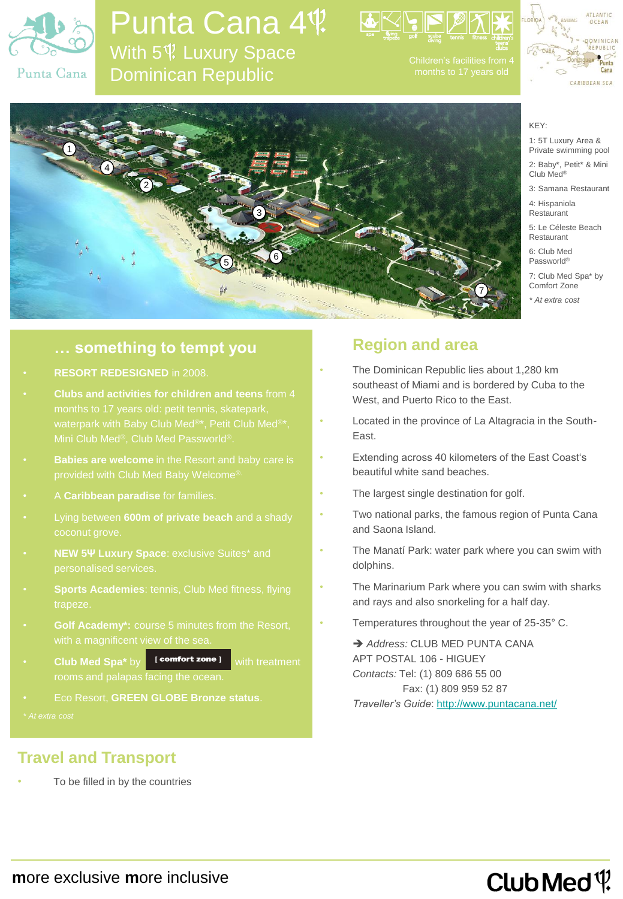

### Punta Cana 4<sup>t</sup>. With 5<sup> $$$ </sup> Luxury Space Dominican Republic







KEY: 1: 5T Luxury Area & Private swimming pool

2: Baby\*, Petit\* & Mini Club Med®

3: Samana Restaurant

4: Hispaniola Restaurant

5: Le Céleste Beach Restaurant

6: Club Med Passworld®

7: Club Med Spa\* by Comfort Zone

*\* At extra cost*

### **… something to tempt you**

- **RESORT REDESIGNED** in 2008.
- **Clubs and activities for children and teens** from 4
- 
- A **Caribbean paradise** for families.
- Lying between **600m of private beach** and a shady
- **NEW 5Ψ Luxury Space**: exclusive Suites\* and
- trapeze.
- **Golf Academy\*:** course 5 minutes from the Resort,
- **Club Med Spa\*** by **comfort zone I** with treatment
- Eco Resort, **GREEN GLOBE Bronze status**.

### **Travel and Transport**

To be filled in by the countries

### **Region and area**

- The Dominican Republic lies about 1,280 km southeast of Miami and is bordered by Cuba to the West, and Puerto Rico to the East.
- Located in the province of La Altagracia in the South-East.
- Extending across 40 kilometers of the East Coast's beautiful white sand beaches.
- The largest single destination for golf.
- Two national parks, the famous region of Punta Cana and Saona Island.
- The Manatí Park: water park where you can swim with dolphins.
- The Marinarium Park where you can swim with sharks and rays and also snorkeling for a half day.
- Temperatures throughout the year of 25-35° C.

 *Address:* CLUB MED PUNTA CANA APT POSTAL 106 - HIGUEY *Contacts:* Tel: (1) 809 686 55 00 Fax: (1) 809 959 52 87 *Traveller's Guide*:<http://www.puntacana.net/>

## Club Med  $\mathfrak{P}$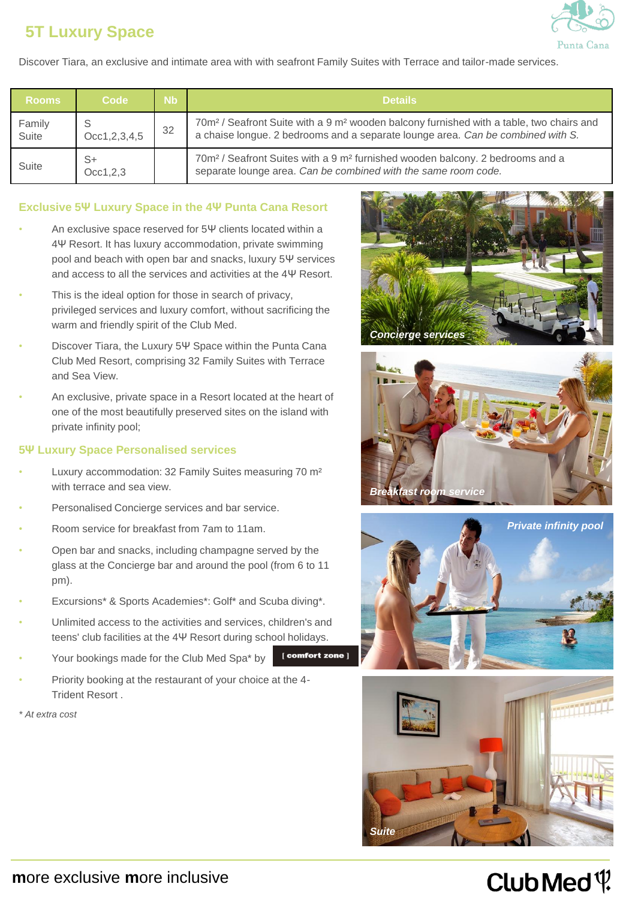### **5T Luxury Space**



Discover Tiara, an exclusive and intimate area with with seafront Family Suites with Terrace and tailor-made services.

| <b>Rooms</b>    | <b>Code</b>      | Nb. | <b>Details</b>                                                                                                                                                                                     |  |  |  |
|-----------------|------------------|-----|----------------------------------------------------------------------------------------------------------------------------------------------------------------------------------------------------|--|--|--|
| Family<br>Suite | Occ1, 2, 3, 4, 5 | 32  | 70m <sup>2</sup> / Seafront Suite with a 9 m <sup>2</sup> wooden balcony furnished with a table, two chairs and<br>a chaise longue. 2 bedrooms and a separate lounge area. Can be combined with S. |  |  |  |
| Suite           | S+<br>Occ1, 2, 3 |     | 70m <sup>2</sup> / Seafront Suites with a 9 m <sup>2</sup> furnished wooden balcony. 2 bedrooms and a<br>separate lounge area. Can be combined with the same room code.                            |  |  |  |

#### **Exclusive 5Ψ Luxury Space in the 4Ψ Punta Cana Resort**

- An exclusive space reserved for 5Ψ clients located within a 4Ψ Resort. It has luxury accommodation, private swimming pool and beach with open bar and snacks, luxury 5Ψ services and access to all the services and activities at the 4Ψ Resort.
- This is the ideal option for those in search of privacy, privileged services and luxury comfort, without sacrificing the warm and friendly spirit of the Club Med.
- Discover Tiara, the Luxury 5Ψ Space within the Punta Cana Club Med Resort, comprising 32 Family Suites with Terrace and Sea View.
- An exclusive, private space in a Resort located at the heart of one of the most beautifully preserved sites on the island with private infinity pool;

#### **5Ψ Luxury Space Personalised services**

- Luxury accommodation: 32 Family Suites measuring 70 m² with terrace and sea view.
- Personalised Concierge services and bar service.
- Room service for breakfast from 7am to 11am.
- Open bar and snacks, including champagne served by the glass at the Concierge bar and around the pool (from 6 to 11 pm).
- Excursions\* & Sports Academies\*: Golf\* and Scuba diving\*.
- Unlimited access to the activities and services, children's and teens' club facilities at the 4Ψ Resort during school holidays.
- Your bookings made for the Club Med Spa\* by
- Priority booking at the restaurant of your choice at the 4- Trident Resort .









## Club Med  $\mathfrak{P}$

*<sup>\*</sup> At extra cost*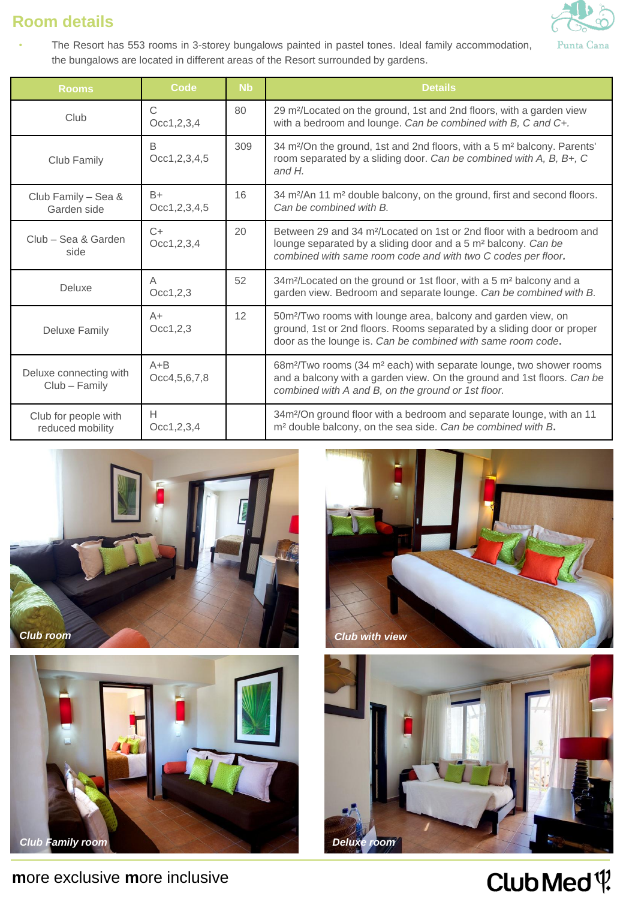### **Room details**



• The Resort has 553 rooms in 3-storey bungalows painted in pastel tones. Ideal family accommodation, the bungalows are located in different areas of the Resort surrounded by gardens.

| <b>Rooms</b>                             | <b>Code</b>              | <b>Nb</b> | <b>Details</b>                                                                                                                                                                                                                |
|------------------------------------------|--------------------------|-----------|-------------------------------------------------------------------------------------------------------------------------------------------------------------------------------------------------------------------------------|
| Club                                     | C<br>Occ1, 2, 3, 4       | 80        | 29 m <sup>2</sup> /Located on the ground, 1st and 2nd floors, with a garden view<br>with a bedroom and lounge. Can be combined with B, C and C+.                                                                              |
| Club Family                              | B<br>Occ1, 2, 3, 4, 5    | 309       | 34 m <sup>2</sup> /On the ground, 1st and 2nd floors, with a 5 m <sup>2</sup> balcony. Parents'<br>room separated by a sliding door. Can be combined with A, B, B+, C<br>and $H$ .                                            |
| Club Family - Sea &<br>Garden side       | $B+$<br>Occ1, 2, 3, 4, 5 | 16        | 34 m <sup>2</sup> /An 11 m <sup>2</sup> double balcony, on the ground, first and second floors.<br>Can be combined with B.                                                                                                    |
| Club - Sea & Garden<br>side              | $C+$<br>Occ1, 2, 3, 4    | 20        | Between 29 and 34 m <sup>2</sup> /Located on 1st or 2nd floor with a bedroom and<br>lounge separated by a sliding door and a 5 m <sup>2</sup> balcony. Can be<br>combined with same room code and with two C codes per floor. |
| Deluxe                                   | A<br>Occ1, 2, 3          | 52        | 34m <sup>2</sup> /Located on the ground or 1st floor, with a 5 m <sup>2</sup> balcony and a<br>garden view. Bedroom and separate lounge. Can be combined with B.                                                              |
| <b>Deluxe Family</b>                     | $A+$<br>Occ1, 2, 3       | 12        | 50m <sup>2</sup> /Two rooms with lounge area, balcony and garden view, on<br>ground, 1st or 2nd floors. Rooms separated by a sliding door or proper<br>door as the lounge is. Can be combined with same room code.            |
| Deluxe connecting with<br>Club - Family  | $A + B$<br>Occ4,5,6,7,8  |           | 68m <sup>2</sup> /Two rooms (34 m <sup>2</sup> each) with separate lounge, two shower rooms<br>and a balcony with a garden view. On the ground and 1st floors. Can be<br>combined with A and B, on the ground or 1st floor.   |
| Club for people with<br>reduced mobility | H<br>Occ1,2,3,4          |           | 34m <sup>2</sup> /On ground floor with a bedroom and separate lounge, with an 11<br>m <sup>2</sup> double balcony, on the sea side. Can be combined with B.                                                                   |











# Club Med<sup>(1)</sup>